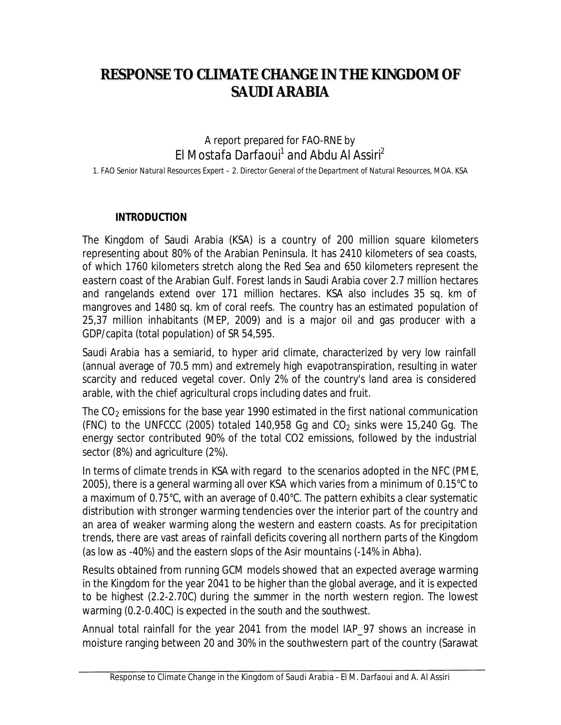# **RESPONSE TO CLIMATE CHANGE IN THE KINGDOM OF SAUDI ARABIA**

*A report prepared for FAO-RNE by El Mostafa Darfaoui<sup>1</sup> and Abdu Al Assiri<sup>2</sup> 1. FAO Senior Natural Resources Expert – 2. Director General of the Department of Natural Resources, MOA. KSA*

#### **INTRODUCTION**

The Kingdom of Saudi Arabia (KSA) is a country of 200 million square kilometers representing about 80% of the Arabian Peninsula. It has 2410 kilometers of sea coasts, of which 1760 kilometers stretch along the Red Sea and 650 kilometers represent the eastern coast of the Arabian Gulf. Forest lands in Saudi Arabia cover 2.7 million hectares and rangelands extend over 171 million hectares. KSA also includes 35 sq. km of mangroves and 1480 sq. km of coral reefs. The country has an estimated population of 25,37 million inhabitants (MEP, 2009) and is a major oil and gas producer with a GDP/capita (total population) of SR 54,595.

Saudi Arabia has a semiarid, to hyper arid climate, characterized by very low rainfall (annual average of 70.5 mm) and extremely high evapotranspiration, resulting in water scarcity and reduced vegetal cover. Only 2% of the country's land area is considered arable, with the chief agricultural crops including dates and fruit.

The  $CO<sub>2</sub>$  emissions for the base year 1990 estimated in the first national communication (FNC) to the UNFCCC (2005) totaled 140,958 Gq and  $CO<sub>2</sub>$  sinks were 15,240 Gq. The energy sector contributed 90% of the total CO2 emissions, followed by the industrial sector (8%) and agriculture (2%).

In terms of climate trends in KSA with regard to the scenarios adopted in the NFC (PME, 2005), there is a general warming all over KSA which varies from a minimum of 0.15°C to a maximum of 0.75°C, with an average of 0.40°C. The pattern exhibits a clear systematic distribution with stronger warming tendencies over the interior part of the country and an area of weaker warming along the western and eastern coasts. As for precipitation trends, there are vast areas of rainfall deficits covering all northern parts of the Kingdom (as low as -40%) and the eastern slops of the Asir mountains (-14% in Abha).

Results obtained from running GCM models showed that an expected average warming in the Kingdom for the year 2041 to be higher than the global average, and it is expected to be highest (2.2-2.70C) during the summer in the north western region. The lowest warming (0.2-0.40C) is expected in the south and the southwest.

Annual total rainfall for the year 2041 from the model IAP\_97 shows an increase in moisture ranging between 20 and 30% in the southwestern part of the country (Sarawat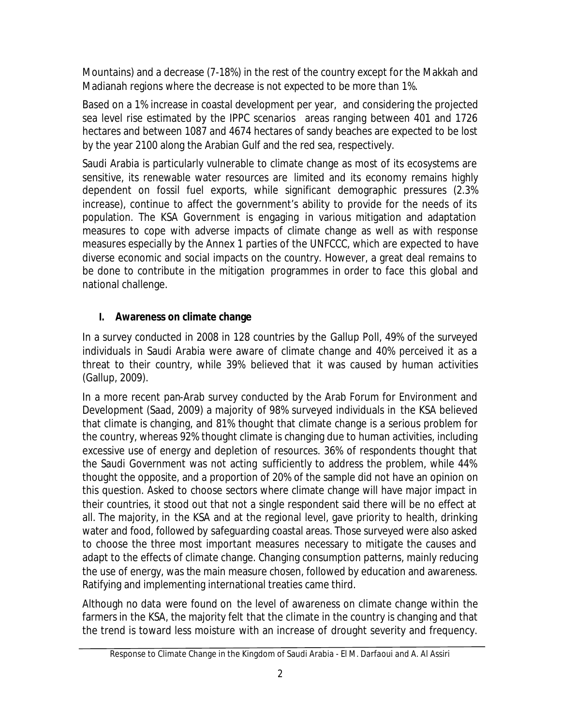Mountains) and a decrease (7-18%) in the rest of the country except for the Makkah and Madianah regions where the decrease is not expected to be more than 1%.

Based on a 1% increase in coastal development per year, and considering the projected sea level rise estimated by the IPPC scenarios areas ranging between 401 and 1726 hectares and between 1087 and 4674 hectares of sandy beaches are expected to be lost by the year 2100 along the Arabian Gulf and the red sea, respectively.

Saudi Arabia is particularly vulnerable to climate change as most of its ecosystems are sensitive, its renewable water resources are limited and its economy remains highly dependent on fossil fuel exports, while significant demographic pressures (2.3% increase), continue to affect the government's ability to provide for the needs of its population. The KSA Government is engaging in various mitigation and adaptation measures to cope with adverse impacts of climate change as well as with response measures especially by the Annex 1 parties of the UNFCCC, which are expected to have diverse economic and social impacts on the country. However, a great deal remains to be done to contribute in the mitigation programmes in order to face this global and national challenge.

# **I. Awareness on climate change**

In a survey conducted in 2008 in 128 countries by the Gallup Poll, 49% of the surveyed individuals in Saudi Arabia were aware of climate change and 40% perceived it as a threat to their country, while 39% believed that it was caused by human activities (Gallup, 2009).

In a more recent pan-Arab survey conducted by the Arab Forum for Environment and Development (Saad, 2009) a majority of 98% surveyed individuals in the KSA believed that climate is changing, and 81% thought that climate change is a serious problem for the country, whereas 92% thought climate is changing due to human activities, including excessive use of energy and depletion of resources. 36% of respondents thought that the Saudi Government was not acting sufficiently to address the problem, while 44% thought the opposite, and a proportion of 20% of the sample did not have an opinion on this question. Asked to choose sectors where climate change will have major impact in their countries, it stood out that not a single respondent said there will be no effect at all. The majority, in the KSA and at the regional level, gave priority to health, drinking water and food, followed by safeguarding coastal areas. Those surveyed were also asked to choose the three most important measures necessary to mitigate the causes and adapt to the effects of climate change. Changing consumption patterns, mainly reducing the use of energy, was the main measure chosen, followed by education and awareness. Ratifying and implementing international treaties came third.

Although no data were found on the level of awareness on climate change within the farmers in the KSA, the majority felt that the climate in the country is changing and that the trend is toward less moisture with an increase of drought severity and frequency.

Response to Climate Change in the Kingdom of Saudi Arabia - *El M. Darfaoui and A. Al Assiri*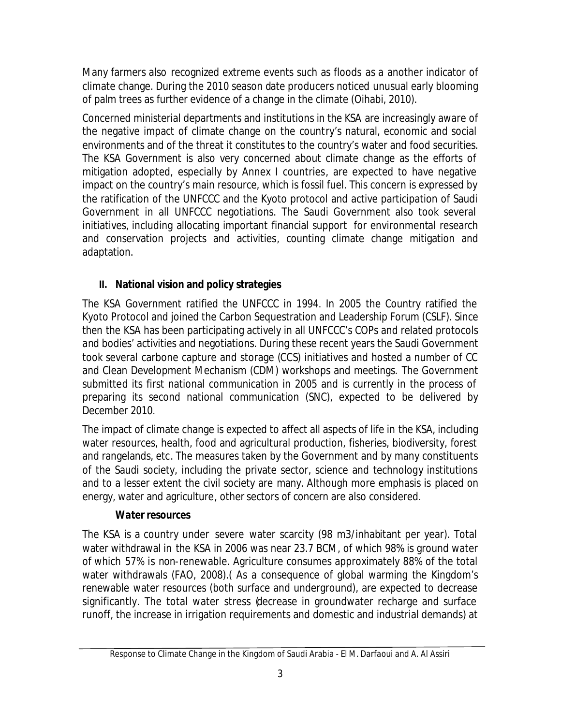Many farmers also recognized extreme events such as floods as a another indicator of climate change. During the 2010 season date producers noticed unusual early blooming of palm trees as further evidence of a change in the climate (Oihabi, 2010).

Concerned ministerial departments and institutions in the KSA are increasingly aware of the negative impact of climate change on the country's natural, economic and social environments and of the threat it constitutes to the country's water and food securities. The KSA Government is also very concerned about climate change as the efforts of mitigation adopted, especially by Annex I countries, are expected to have negative impact on the country's main resource, which is fossil fuel. This concern is expressed by the ratification of the UNFCCC and the Kyoto protocol and active participation of Saudi Government in all UNFCCC negotiations. The Saudi Government also took several initiatives, including allocating important financial support for environmental research and conservation projects and activities, counting climate change mitigation and adaptation.

# **II. National vision and policy strategies**

The KSA Government ratified the UNFCCC in 1994. In 2005 the Country ratified the Kyoto Protocol and joined the Carbon Sequestration and Leadership Forum (CSLF). Since then the KSA has been participating actively in all UNFCCC's COPs and related protocols and bodies' activities and negotiations. During these recent years the Saudi Government took several carbone capture and storage (CCS) initiatives and hosted a number of CC and Clean Development Mechanism (CDM) workshops and meetings. The Government submitted its first national communication in 2005 and is currently in the process of preparing its second national communication (SNC), expected to be delivered by December 2010.

The impact of climate change is expected to affect all aspects of life in the KSA, including water resources, health, food and agricultural production, fisheries, biodiversity, forest and rangelands, etc. The measures taken by the Government and by many constituents of the Saudi society, including the private sector, science and technology institutions and to a lesser extent the civil society are many. Although more emphasis is placed on energy, water and agriculture, other sectors of concern are also considered.

# *Water resources*

The KSA is a country under severe water scarcity (98 m3/inhabitant per year). Total water withdrawal in the KSA in 2006 was near 23.7 BCM, of which 98% is ground water of which 57% is non-renewable. Agriculture consumes approximately 88% of the total water withdrawals (FAO, 2008).( As a consequence of global warming the Kingdom's renewable water resources (both surface and underground), are expected to decrease significantly. The total water stress (decrease in groundwater recharge and surface runoff, the increase in irrigation requirements and domestic and industrial demands) at

Response to Climate Change in the Kingdom of Saudi Arabia - *El M. Darfaoui and A. Al Assiri*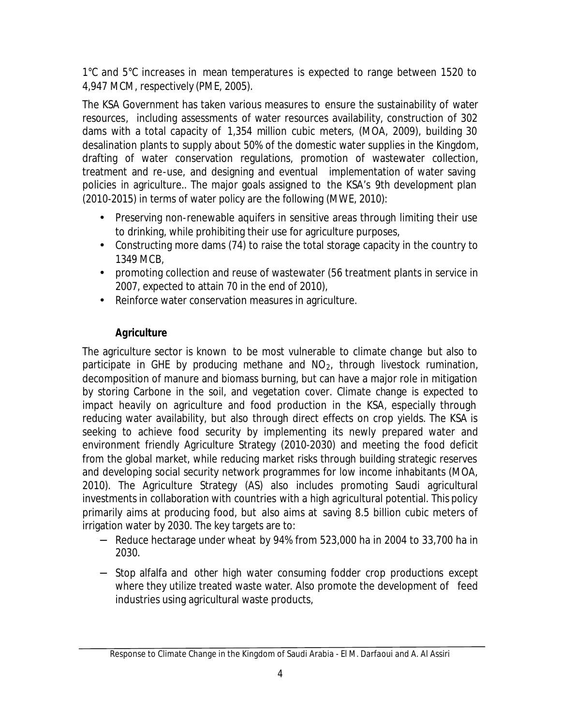1°C and 5°C increases in mean temperatures is expected to range between 1520 to 4,947 MCM, respectively (PME, 2005).

The KSA Government has taken various measures to ensure the sustainability of water resources, including assessments of water resources availability, construction of 302 dams with a total capacity of 1,354 million cubic meters, (MOA, 2009), building 30 desalination plants to supply about 50% of the domestic water supplies in the Kingdom, drafting of water conservation regulations, promotion of wastewater collection, treatment and re-use, and designing and eventual implementation of water saving policies in agriculture.. The major goals assigned to the KSA's 9th development plan (2010-2015) in terms of water policy are the following (MWE, 2010):

- Preserving non-renewable aquifers in sensitive areas through limiting their use to drinking, while prohibiting their use for agriculture purposes,
- Constructing more dams (74) to raise the total storage capacity in the country to 1349 MCB,
- promoting collection and reuse of wastewater (56 treatment plants in service in 2007, expected to attain 70 in the end of 2010),
- Reinforce water conservation measures in agriculture.

## *Agriculture*

The agriculture sector is known to be most vulnerable to climate change but also to participate in GHE by producing methane and  $NO<sub>2</sub>$ , through livestock rumination, decomposition of manure and biomass burning, but can have a major role in mitigation by storing Carbone in the soil, and vegetation cover. Climate change is expected to impact heavily on agriculture and food production in the KSA, especially through reducing water availability, but also through direct effects on crop yields. The KSA is seeking to achieve food security by implementing its newly prepared water and environment friendly Agriculture Strategy (2010-2030) and meeting the food deficit from the global market, while reducing market risks through building strategic reserves and developing social security network programmes for low income inhabitants (MOA, 2010). The Agriculture Strategy (AS) also includes promoting Saudi agricultural investments in collaboration with countries with a high agricultural potential. This policy primarily aims at producing food, but also aims at saving 8.5 billion cubic meters of irrigation water by 2030. The key targets are to:

- − Reduce hectarage under wheat by 94% from 523,000 ha in 2004 to 33,700 ha in 2030.
- − Stop alfalfa and other high water consuming fodder crop productions except where they utilize treated waste water. Also promote the development of feed industries using agricultural waste products,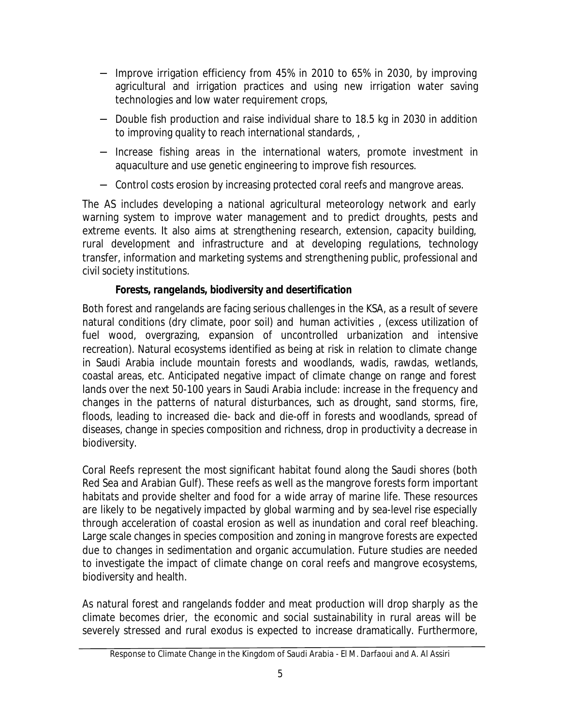- − Improve irrigation efficiency from 45% in 2010 to 65% in 2030, by improving agricultural and irrigation practices and using new irrigation water saving technologies and low water requirement crops,
- − Double fish production and raise individual share to 18.5 kg in 2030 in addition to improving quality to reach international standards, ,
- − Increase fishing areas in the international waters, promote investment in aquaculture and use genetic engineering to improve fish resources.
- − Control costs erosion by increasing protected coral reefs and mangrove areas.

The AS includes developing a national agricultural meteorology network and early warning system to improve water management and to predict droughts, pests and extreme events. It also aims at strengthening research, extension, capacity building, rural development and infrastructure and at developing regulations, technology transfer, information and marketing systems and strengthening public, professional and civil society institutions.

## *Forests, rangelands, biodiversity and desertification*

Both forest and rangelands are facing serious challenges in the KSA, as a result of severe natural conditions (dry climate, poor soil) and human activities , (excess utilization of fuel wood, overgrazing, expansion of uncontrolled urbanization and intensive recreation). Natural ecosystems identified as being at risk in relation to climate change in Saudi Arabia include mountain forests and woodlands, wadis, rawdas, wetlands, coastal areas, etc. Anticipated negative impact of climate change on range and forest lands over the next 50-100 years in Saudi Arabia include: increase in the frequency and changes in the patterns of natural disturbances, such as drought, sand storms, fire, floods, leading to increased die- back and die-off in forests and woodlands, spread of diseases, change in species composition and richness, drop in productivity a decrease in biodiversity.

Coral Reefs represent the most significant habitat found along the Saudi shores (both Red Sea and Arabian Gulf). These reefs as well as the mangrove forests form important habitats and provide shelter and food for a wide array of marine life. These resources are likely to be negatively impacted by global warming and by sea-level rise especially through acceleration of coastal erosion as well as inundation and coral reef bleaching. Large scale changes in species composition and zoning in mangrove forests are expected due to changes in sedimentation and organic accumulation. Future studies are needed to investigate the impact of climate change on coral reefs and mangrove ecosystems, biodiversity and health.

As natural forest and rangelands fodder and meat production will drop sharply as the climate becomes drier, the economic and social sustainability in rural areas will be severely stressed and rural exodus is expected to increase dramatically. Furthermore,

Response to Climate Change in the Kingdom of Saudi Arabia - *El M. Darfaoui and A. Al Assiri*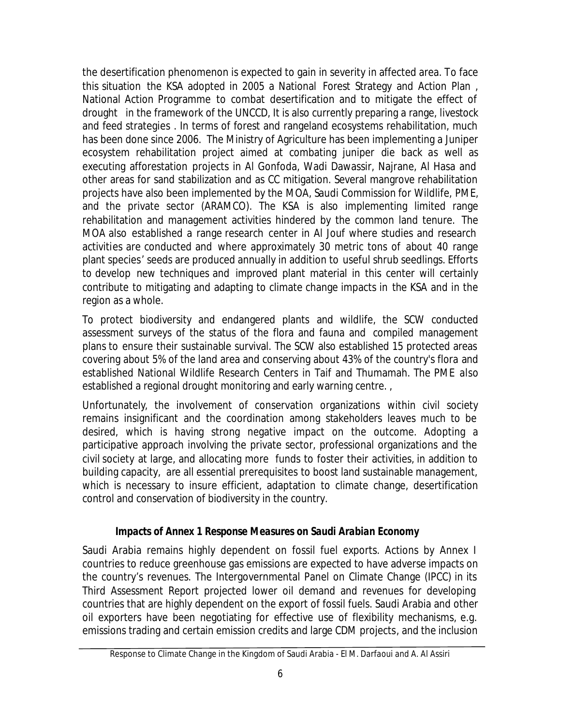the desertification phenomenon is expected to gain in severity in affected area. To face this situation the KSA adopted in 2005 a National Forest Strategy and Action Plan , National Action Programme to combat desertification and to mitigate the effect of drought in the framework of the UNCCD, It is also currently preparing a range, livestock and feed strategies . In terms of forest and rangeland ecosystems rehabilitation, much has been done since 2006. The Ministry of Agriculture has been implementing a Juniper ecosystem rehabilitation project aimed at combating juniper die back as well as executing afforestation projects in Al Gonfoda, Wadi Dawassir, Najrane, Al Hasa and other areas for sand stabilization and as CC mitigation. Several mangrove rehabilitation projects have also been implemented by the MOA, Saudi Commission for Wildlife, PME, and the private sector (ARAMCO). The KSA is also implementing limited range rehabilitation and management activities hindered by the common land tenure. The MOA also established a range research center in Al Jouf where studies and research activities are conducted and where approximately 30 metric tons of about 40 range plant species' seeds are produced annually in addition to useful shrub seedlings. Efforts to develop new techniques and improved plant material in this center will certainly contribute to mitigating and adapting to climate change impacts in the KSA and in the region as a whole.

To protect biodiversity and endangered plants and wildlife, the SCW conducted assessment surveys of the status of the flora and fauna and compiled management plans to ensure their sustainable survival. The SCW also established 15 protected areas covering about 5% of the land area and conserving about 43% of the country's flora and established National Wildlife Research Centers in Taif and Thumamah. The PME also established a regional drought monitoring and early warning centre. ,

Unfortunately, the involvement of conservation organizations within civil society remains insignificant and the coordination among stakeholders leaves much to be desired, which is having strong negative impact on the outcome. Adopting a participative approach involving the private sector, professional organizations and the civil society at large, and allocating more funds to foster their activities, in addition to building capacity, are all essential prerequisites to boost land sustainable management, which is necessary to insure efficient, adaptation to climate change, desertification control and conservation of biodiversity in the country.

#### *Impacts of Annex 1 Response Measures on Saudi Arabian Economy*

Saudi Arabia remains highly dependent on fossil fuel exports. Actions by Annex I countries to reduce greenhouse gas emissions are expected to have adverse impacts on the country's revenues. The Intergovernmental Panel on Climate Change (IPCC) in its Third Assessment Report projected lower oil demand and revenues for developing countries that are highly dependent on the export of fossil fuels. Saudi Arabia and other oil exporters have been negotiating for effective use of flexibility mechanisms, e.g. emissions trading and certain emission credits and large CDM projects, and the inclusion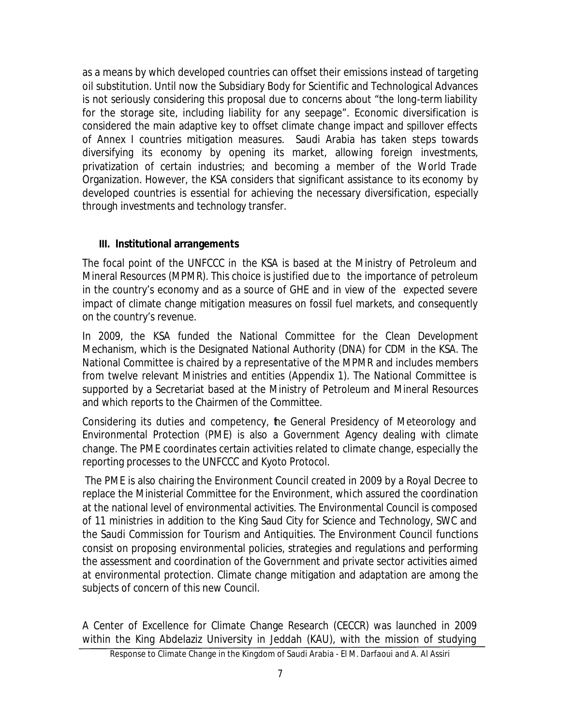as a means by which developed countries can offset their emissions instead of targeting oil substitution. Until now the Subsidiary Body for Scientific and Technological Advances is not seriously considering this proposal due to concerns about "the long-term liability for the storage site, including liability for any seepage". Economic diversification is considered the main adaptive key to offset climate change impact and spillover effects of Annex I countries mitigation measures. Saudi Arabia has taken steps towards diversifying its economy by opening its market, allowing foreign investments, privatization of certain industries; and becoming a member of the World Trade Organization. However, the KSA considers that significant assistance to its economy by developed countries is essential for achieving the necessary diversification, especially through investments and technology transfer.

#### **III. Institutional arrangements**

The focal point of the UNFCCC in the KSA is based at the Ministry of Petroleum and Mineral Resources (MPMR). This choice is justified due to the importance of petroleum in the country's economy and as a source of GHE and in view of the expected severe impact of climate change mitigation measures on fossil fuel markets, and consequently on the country's revenue.

In 2009, the KSA funded the National Committee for the Clean Development Mechanism, which is the Designated National Authority (DNA) for CDM in the KSA. The National Committee is chaired by a representative of the MPMR and includes members from twelve relevant Ministries and entities (Appendix 1). The National Committee is supported by a Secretariat based at the Ministry of Petroleum and Mineral Resources and which reports to the Chairmen of the Committee.

Considering its duties and competency, he General Presidency of Meteorology and Environmental Protection (PME) is also a Government Agency dealing with climate change. The PME coordinates certain activities related to climate change, especially the reporting processes to the UNFCCC and Kyoto Protocol.

The PME is also chairing the Environment Council created in 2009 by a Royal Decree to replace the Ministerial Committee for the Environment, which assured the coordination at the national level of environmental activities. The Environmental Council is composed of 11 ministries in addition to the King Saud City for Science and Technology, SWC and the Saudi Commission for Tourism and Antiquities. The Environment Council functions consist on proposing environmental policies, strategies and regulations and performing the assessment and coordination of the Government and private sector activities aimed at environmental protection. Climate change mitigation and adaptation are among the subjects of concern of this new Council.

A Center of Excellence for Climate Change Research (CECCR) was launched in 2009 within the King Abdelaziz University in Jeddah (KAU), with the mission of studying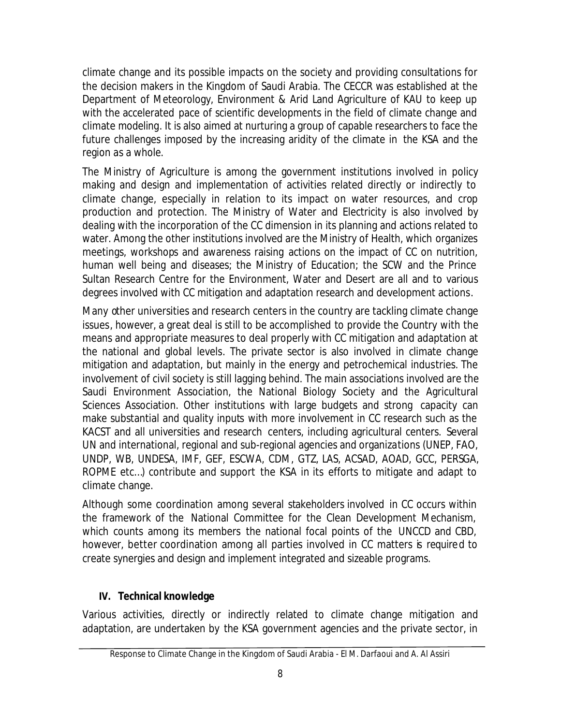climate change and its possible impacts on the society and providing consultations for the decision makers in the Kingdom of Saudi Arabia. The CECCR was established at the Department of Meteorology, Environment & Arid Land Agriculture of KAU to keep up with the accelerated pace of scientific developments in the field of climate change and climate modeling. It is also aimed at nurturing a group of capable researchers to face the future challenges imposed by the increasing aridity of the climate in the KSA and the region as a whole.

The Ministry of Agriculture is among the government institutions involved in policy making and design and implementation of activities related directly or indirectly to climate change, especially in relation to its impact on water resources, and crop production and protection. The Ministry of Water and Electricity is also involved by dealing with the incorporation of the CC dimension in its planning and actions related to water. Among the other institutions involved are the Ministry of Health, which organizes meetings, workshops and awareness raising actions on the impact of CC on nutrition, human well being and diseases; the Ministry of Education; the SCW and the Prince Sultan Research Centre for the Environment, Water and Desert are all and to various degrees involved with CC mitigation and adaptation research and development actions.

Many other universities and research centers in the country are tackling climate change issues, however, a great deal is still to be accomplished to provide the Country with the means and appropriate measures to deal properly with CC mitigation and adaptation at the national and global levels. The private sector is also involved in climate change mitigation and adaptation, but mainly in the energy and petrochemical industries. The involvement of civil society is still lagging behind. The main associations involved are the Saudi Environment Association, the National Biology Society and the Agricultural Sciences Association. Other institutions with large budgets and strong capacity can make substantial and quality inputs with more involvement in CC research such as the KACST and all universities and research centers, including agricultural centers. Several UN and international, regional and sub-regional agencies and organizations (UNEP, FAO, UNDP, WB, UNDESA, IMF, GEF, ESCWA, CDM, GTZ, LAS, ACSAD, AOAD, GCC, PERSGA, ROPME etc…) contribute and support the KSA in its efforts to mitigate and adapt to climate change.

Although some coordination among several stakeholders involved in CC occurs within the framework of the National Committee for the Clean Development Mechanism, which counts among its members the national focal points of the UNCCD and CBD, however, better coordination among all parties involved in CC matters is required to create synergies and design and implement integrated and sizeable programs.

## **IV. Technical knowledge**

Various activities, directly or indirectly related to climate change mitigation and adaptation, are undertaken by the KSA government agencies and the private sector, in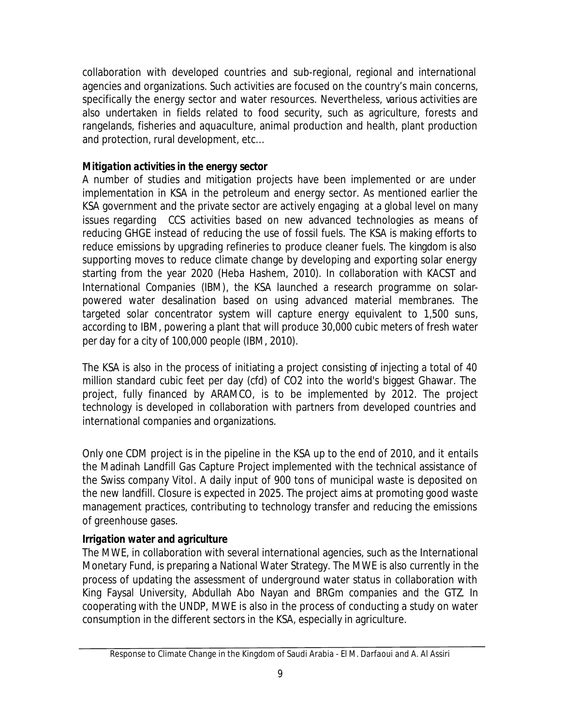collaboration with developed countries and sub-regional, regional and international agencies and organizations. Such activities are focused on the country's main concerns, specifically the energy sector and water resources. Nevertheless, various activities are also undertaken in fields related to food security, such as agriculture, forests and rangelands, fisheries and aquaculture, animal production and health, plant production and protection, rural development, etc…

## *Mitigation activities in the energy sector*

A number of studies and mitigation projects have been implemented or are under implementation in KSA in the petroleum and energy sector. As mentioned earlier the KSA government and the private sector are actively engaging at a global level on many issues regarding CCS activities based on new advanced technologies as means of reducing GHGE instead of reducing the use of fossil fuels. The KSA is making efforts to reduce emissions by upgrading refineries to produce cleaner fuels. The kingdom is also supporting moves to reduce climate change by developing and exporting solar energy starting from the year 2020 (Heba Hashem, 2010). In collaboration with KACST and International Companies (IBM), the KSA launched a research programme on solarpowered water desalination based on using advanced material membranes. The targeted solar concentrator system will capture energy equivalent to 1,500 suns, according to IBM, powering a plant that will produce 30,000 cubic meters of fresh water per day for a city of 100,000 people (IBM, 2010).

The KSA is also in the process of initiating a project consisting of injecting a total of 40 million standard cubic feet per day (cfd) of CO2 into the world's biggest Ghawar. The project, fully financed by ARAMCO, is to be implemented by 2012. The project technology is developed in collaboration with partners from developed countries and international companies and organizations.

Only one CDM project is in the pipeline in the KSA up to the end of 2010, and it entails the Madinah Landfill Gas Capture Project implemented with the technical assistance of the Swiss company Vitol. A daily input of 900 tons of municipal waste is deposited on the new landfill. Closure is expected in 2025. The project aims at promoting good waste management practices, contributing to technology transfer and reducing the emissions of greenhouse gases.

## *Irrigation water and agriculture*

The MWE, in collaboration with several international agencies, such as the International Monetary Fund, is preparing a National Water Strategy. The MWE is also currently in the process of updating the assessment of underground water status in collaboration with King Faysal University, Abdullah Abo Nayan and BRGm companies and the GTZ. In cooperating with the UNDP, MWE is also in the process of conducting a study on water consumption in the different sectors in the KSA, especially in agriculture.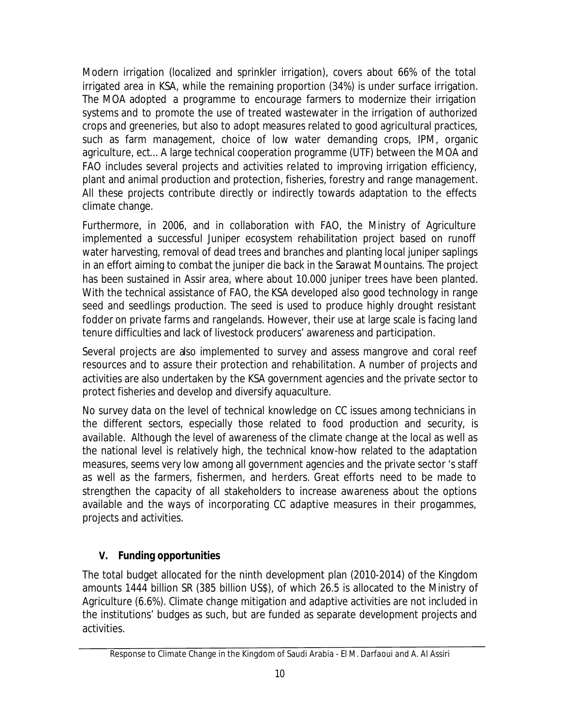Modern irrigation (localized and sprinkler irrigation), covers about 66% of the total irrigated area in KSA, while the remaining proportion (34%) is under surface irrigation. The MOA adopted a programme to encourage farmers to modernize their irrigation systems and to promote the use of treated wastewater in the irrigation of authorized crops and greeneries, but also to adopt measures related to good agricultural practices, such as farm management, choice of low water demanding crops, IPM, organic agriculture, ect... A large technical cooperation programme (UTF) between the MOA and FAO includes several projects and activities related to improving irrigation efficiency, plant and animal production and protection, fisheries, forestry and range management. All these projects contribute directly or indirectly towards adaptation to the effects climate change.

Furthermore, in 2006, and in collaboration with FAO, the Ministry of Agriculture implemented a successful Juniper ecosystem rehabilitation project based on runoff water harvesting, removal of dead trees and branches and planting local juniper saplings in an effort aiming to combat the juniper die back in the Sarawat Mountains. The project has been sustained in Assir area, where about 10.000 juniper trees have been planted. With the technical assistance of FAO, the KSA developed also good technology in range seed and seedlings production. The seed is used to produce highly drought resistant fodder on private farms and rangelands. However, their use at large scale is facing land tenure difficulties and lack of livestock producers' awareness and participation.

Several projects are also implemented to survey and assess mangrove and coral reef resources and to assure their protection and rehabilitation. A number of projects and activities are also undertaken by the KSA government agencies and the private sector to protect fisheries and develop and diversify aquaculture.

No survey data on the level of technical knowledge on CC issues among technicians in the different sectors, especially those related to food production and security, is available. Although the level of awareness of the climate change at the local as well as the national level is relatively high, the technical know-how related to the adaptation measures, seems very low among all government agencies and the private sector 's staff as well as the farmers, fishermen, and herders. Great efforts need to be made to strengthen the capacity of all stakeholders to increase awareness about the options available and the ways of incorporating CC adaptive measures in their progammes, projects and activities.

# **V. Funding opportunities**

The total budget allocated for the ninth development plan (2010-2014) of the Kingdom amounts 1444 billion SR (385 billion US\$), of which 26.5 is allocated to the Ministry of Agriculture (6.6%). Climate change mitigation and adaptive activities are not included in the institutions' budges as such, but are funded as separate development projects and activities.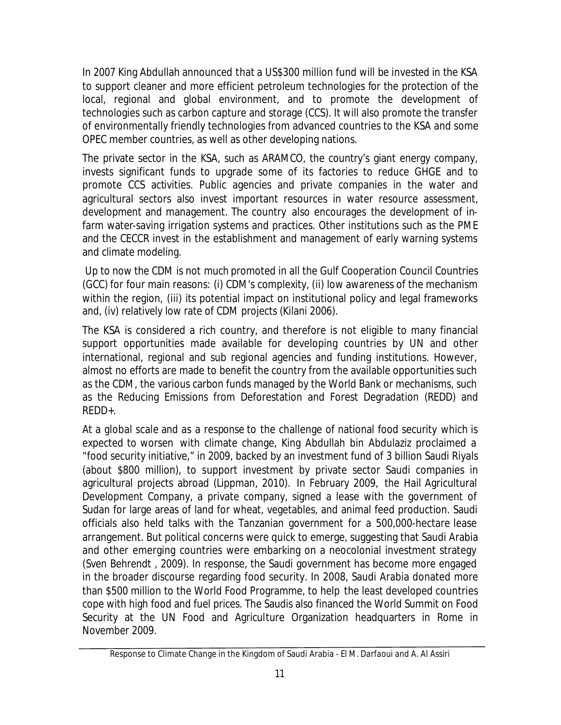In 2007 King Abdullah announced that a US\$300 million fund will be invested in the KSA to support cleaner and more efficient petroleum technologies for the protection of the local, regional and global environment, and to promote the development of technologies such as carbon capture and storage (CCS). It will also promote the transfer of environmentally friendly technologies from advanced countries to the KSA and some OPEC member countries, as well as other developing nations.

The private sector in the KSA, such as ARAMCO, the country's giant energy company, invests significant funds to upgrade some of its factories to reduce GHGE and to promote CCS activities. Public agencies and private companies in the water and agricultural sectors also invest important resources in water resource assessment, development and management. The country also encourages the development of infarm water-saving irrigation systems and practices. Other institutions such as the PME and the CECCR invest in the establishment and management of early warning systems and climate modeling.

Up to now the CDM is not much promoted in all the Gulf Cooperation Council Countries (GCC) for four main reasons: (i) CDM's complexity, (ii) low awareness of the mechanism within the region, (iii) its potential impact on institutional policy and legal frameworks and, (iv) relatively low rate of CDM projects (Kilani 2006).

The KSA is considered a rich country, and therefore is not eligible to many financial support opportunities made available for developing countries by UN and other international, regional and sub regional agencies and funding institutions. However, almost no efforts are made to benefit the country from the available opportunities such as the CDM, the various carbon funds managed by the World Bank or mechanisms, such as the Reducing Emissions from Deforestation and Forest Degradation (REDD) and REDD+.

At a global scale and as a response to the challenge of national food security which is expected to worsen with climate change, King Abdullah bin Abdulaziz proclaimed a "food security initiative," in 2009, backed by an investment fund of 3 billion Saudi Riyals (about \$800 million), to support investment by private sector Saudi companies in agricultural projects abroad (Lippman, 2010). In February 2009, the Hail Agricultural Development Company, a private company, signed a lease with the government of Sudan for large areas of land for wheat, vegetables, and animal feed production. Saudi officials also held talks with the Tanzanian government for a 500,000-hectare lease arrangement. But political concerns were quick to emerge, suggesting that Saudi Arabia and other emerging countries were embarking on a neocolonial investment strategy (Sven Behrendt , 2009). In response, the Saudi government has become more engaged in the broader discourse regarding food security. In 2008, Saudi Arabia donated more than \$500 million to the World Food Programme, to help the least developed countries cope with high food and fuel prices. The Saudis also financed the World Summit on Food Security at the UN Food and Agriculture Organization headquarters in Rome in November 2009.

Response to Climate Change in the Kingdom of Saudi Arabia - *El M. Darfaoui and A. Al Assiri*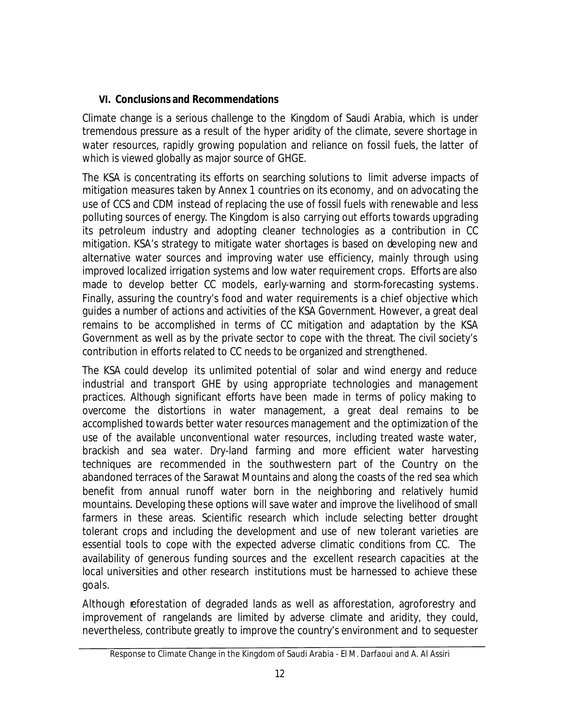## **VI. Conclusions and Recommendations**

Climate change is a serious challenge to the Kingdom of Saudi Arabia, which is under tremendous pressure as a result of the hyper aridity of the climate, severe shortage in water resources, rapidly growing population and reliance on fossil fuels, the latter of which is viewed globally as major source of GHGE.

The KSA is concentrating its efforts on searching solutions to limit adverse impacts of mitigation measures taken by Annex 1 countries on its economy, and on advocating the use of CCS and CDM instead of replacing the use of fossil fuels with renewable and less polluting sources of energy. The Kingdom is also carrying out efforts towards upgrading its petroleum industry and adopting cleaner technologies as a contribution in CC mitigation. KSA's strategy to mitigate water shortages is based on developing new and alternative water sources and improving water use efficiency, mainly through using improved localized irrigation systems and low water requirement crops. Efforts are also made to develop better CC models, early-warning and storm-forecasting systems. Finally, assuring the country's food and water requirements is a chief objective which guides a number of actions and activities of the KSA Government. However, a great deal remains to be accomplished in terms of CC mitigation and adaptation by the KSA Government as well as by the private sector to cope with the threat. The civil society's contribution in efforts related to CC needs to be organized and strengthened.

The KSA could develop its unlimited potential of solar and wind energy and reduce industrial and transport GHE by using appropriate technologies and management practices. Although significant efforts have been made in terms of policy making to overcome the distortions in water management, a great deal remains to be accomplished towards better water resources management and the optimization of the use of the available unconventional water resources, including treated waste water, brackish and sea water. Dry-land farming and more efficient water harvesting techniques are recommended in the southwestern part of the Country on the abandoned terraces of the Sarawat Mountains and along the coasts of the red sea which benefit from annual runoff water born in the neighboring and relatively humid mountains. Developing these options will save water and improve the livelihood of small farmers in these areas. Scientific research which include selecting better drought tolerant crops and including the development and use of new tolerant varieties are essential tools to cope with the expected adverse climatic conditions from CC. The availability of generous funding sources and the excellent research capacities at the local universities and other research institutions must be harnessed to achieve these goals.

Although reforestation of degraded lands as well as afforestation, agroforestry and improvement of rangelands are limited by adverse climate and aridity, they could, nevertheless, contribute greatly to improve the country's environment and to sequester

Response to Climate Change in the Kingdom of Saudi Arabia - *El M. Darfaoui and A. Al Assiri*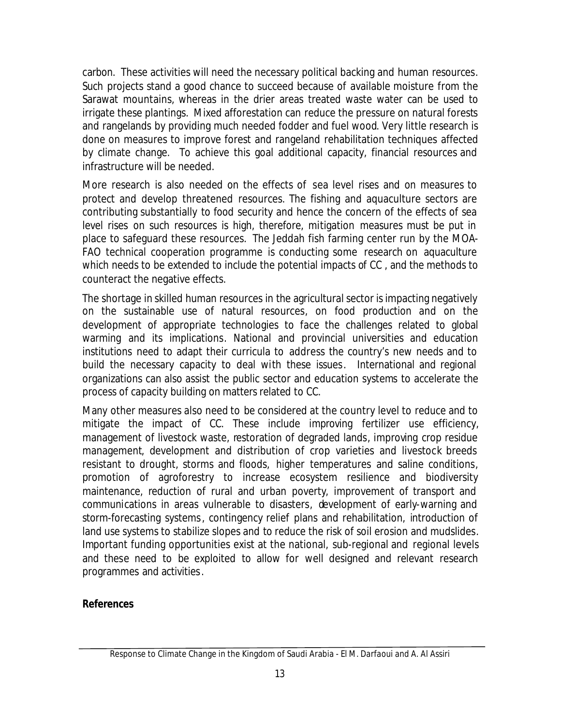carbon. These activities will need the necessary political backing and human resources. Such projects stand a good chance to succeed because of available moisture from the Sarawat mountains, whereas in the drier areas treated waste water can be used to irrigate these plantings. Mixed afforestation can reduce the pressure on natural forests and rangelands by providing much needed fodder and fuel wood. Very little research is done on measures to improve forest and rangeland rehabilitation techniques affected by climate change. To achieve this goal additional capacity, financial resources and infrastructure will be needed.

More research is also needed on the effects of sea level rises and on measures to protect and develop threatened resources. The fishing and aquaculture sectors are contributing substantially to food security and hence the concern of the effects of sea level rises on such resources is high, therefore, mitigation measures must be put in place to safeguard these resources. The Jeddah fish farming center run by the MOA-FAO technical cooperation programme is conducting some research on aquaculture which needs to be extended to include the potential impacts of CC , and the methods to counteract the negative effects.

The shortage in skilled human resources in the agricultural sector is impacting negatively on the sustainable use of natural resources, on food production and on the development of appropriate technologies to face the challenges related to global warming and its implications. National and provincial universities and education institutions need to adapt their curricula to address the country's new needs and to build the necessary capacity to deal with these issues. International and regional organizations can also assist the public sector and education systems to accelerate the process of capacity building on matters related to CC.

Many other measures also need to be considered at the country level to reduce and to mitigate the impact of CC. These include improving fertilizer use efficiency, management of livestock waste, restoration of degraded lands, improving crop residue management, development and distribution of crop varieties and livestock breeds resistant to drought, storms and floods, higher temperatures and saline conditions, promotion of agroforestry to increase ecosystem resilience and biodiversity maintenance, reduction of rural and urban poverty, improvement of transport and communications in areas vulnerable to disasters, development of early-warning and storm-forecasting systems, contingency relief plans and rehabilitation, introduction of land use systems to stabilize slopes and to reduce the risk of soil erosion and mudslides. Important funding opportunities exist at the national, sub-regional and regional levels and these need to be exploited to allow for well designed and relevant research programmes and activities.

#### **References**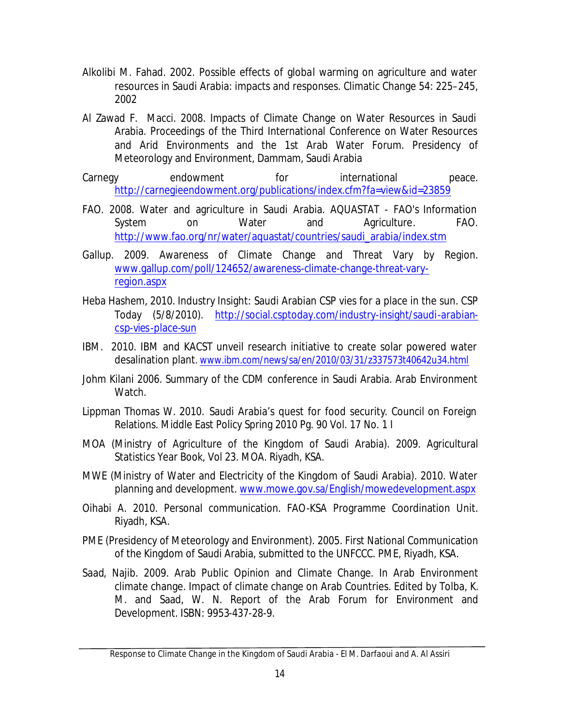- Alkolibi M. Fahad. 2002. Possible effects of global warming on agriculture and water resources in Saudi Arabia: impacts and responses. Climatic Change 54: 225–245, 2002
- Al Zawad F. Macci. 2008. Impacts of Climate Change on Water Resources in Saudi Arabia. Proceedings of the Third International Conference on Water Resources and Arid Environments and the 1st Arab Water Forum. Presidency of Meteorology and Environment, Dammam, Saudi Arabia
- Carnegy endowment for international peace. http://carnegieendowment.org/publications/index.cfm?fa=view&id=23859
- FAO. 2008. Water and agriculture in Saudi Arabia. AQUASTAT FAO's Information *System* on Water and Agriculture. FAO. http://www.fao.org/nr/water/aquastat/countries/saudi\_arabia/index.stm
- Gallup. 2009. Awareness of Climate Change and Threat Vary by Region. www.gallup.com/poll/124652/awareness-climate-change-threat-varyregion.aspx
- Heba Hashem, 2010. Industry Insight: Saudi Arabian CSP vies for a place in the sun. CSP Today (5/8/2010). http://social.csptoday.com/industry-insight/saudi-arabiancsp-vies-place-sun
- IBM. 2010. IBM and KACST unveil research initiative to create solar powered water desalination plant*.* www.ibm.com/news/sa/en/2010/03/31/z337573t40642u34.html
- Johm Kilani 2006. Summary of the CDM conference in Saudi Arabia. Arab Environment Watch.
- Lippman Thomas W. 2010. Saudi Arabia's quest for food security. Council on Foreign Relations. Middle East Policy Spring 2010 Pg. 90 Vol. 17 No. 1 I
- MOA (Ministry of Agriculture of the Kingdom of Saudi Arabia). 2009. Agricultural Statistics Year Book, Vol 23. MOA. Riyadh, KSA.
- MWE (Ministry of Water and Electricity of the Kingdom of Saudi Arabia). 2010. Water planning and development. www.mowe.gov.sa/English/mowedevelopment.aspx
- Oihabi A. 2010. Personal communication. FAO-KSA Programme Coordination Unit. Riyadh, KSA.
- PME (Presidency of Meteorology and Environment). 2005. First National Communication of the Kingdom of Saudi Arabia, submitted to the UNFCCC. PME, Riyadh, KSA.
- Saad, Najib. 2009. Arab Public Opinion and Climate Change. In Arab Environment climate change. Impact of climate change on Arab Countries. Edited by Tolba, K. M. and Saad, W. N. Report of the Arab Forum for Environment and Development. ISBN: 9953-437-28-9.

Response to Climate Change in the Kingdom of Saudi Arabia - *El M. Darfaoui and A. Al Assiri*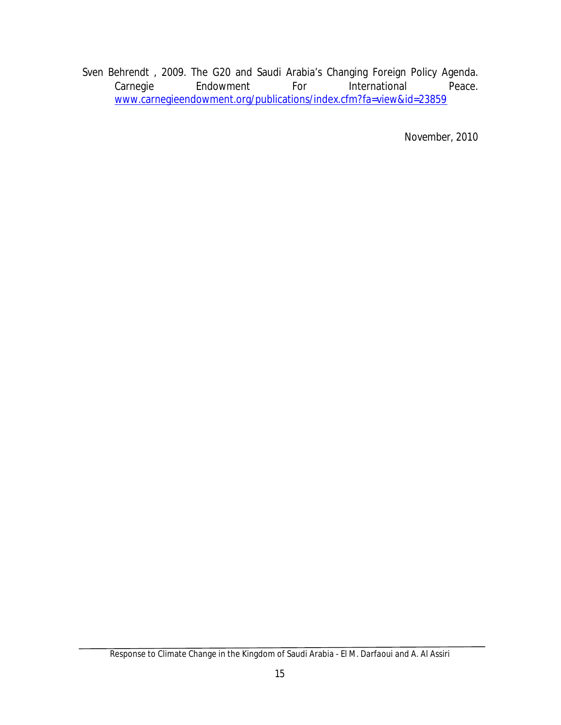Sven Behrendt , 2009. The G20 and Saudi Arabia's Changing Foreign Policy Agenda. Carnegie Endowment For International Peace. www.carnegieendowment.org/publications/index.cfm?fa=view&id=23859

*November, 2010*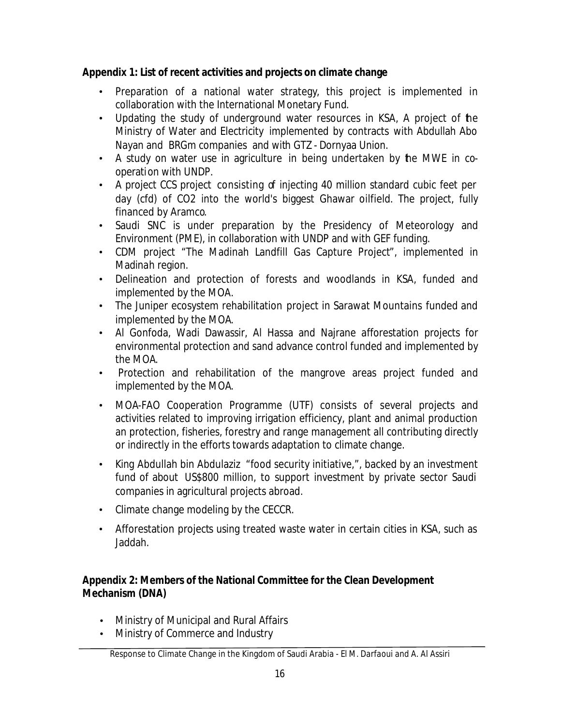## **Appendix 1: List of recent activities and projects on climate change**

- Preparation of a national water strategy, this project is implemented in collaboration with the International Monetary Fund.
- Updating the study of underground water resources in KSA, A project of the Ministry of Water and Electricity implemented by contracts with Abdullah Abo Nayan and BRGm companies and with GTZ - Dornyaa Union.
- A study on water use in agriculture in being undertaken by the MWE in cooperation with UNDP.
- A project CCS project consisting of injecting 40 million standard cubic feet per day (cfd) of CO2 into the world's biggest Ghawar oilfield. The project, fully financed by Aramco.
- Saudi SNC is under preparation by the Presidency of Meteorology and Environment (PME), in collaboration with UNDP and with GEF funding.
- CDM project "The Madinah Landfill Gas Capture Project", implemented in Madinah region.
- Delineation and protection of forests and woodlands in KSA, funded and implemented by the MOA.
- The Juniper ecosystem rehabilitation project in Sarawat Mountains funded and implemented by the MOA.
- Al Gonfoda, Wadi Dawassir, Al Hassa and Najrane afforestation projects for environmental protection and sand advance control funded and implemented by the MOA.
- Protection and rehabilitation of the mangrove areas project funded and implemented by the MOA.
- MOA-FAO Cooperation Programme (UTF) consists of several projects and activities related to improving irrigation efficiency, plant and animal production an protection, fisheries, forestry and range management all contributing directly or indirectly in the efforts towards adaptation to climate change.
- King Abdullah bin Abdulaziz "food security initiative,", backed by an investment fund of about US\$800 million, to support investment by private sector Saudi companies in agricultural projects abroad.
- Climate change modeling by the CECCR.
- Afforestation projects using treated waste water in certain cities in KSA, such as Jaddah.

## **Appendix 2: Members of the National Committee for the Clean Development Mechanism (DNA)**

- Ministry of Municipal and Rural Affairs
- Ministry of Commerce and Industry

Response to Climate Change in the Kingdom of Saudi Arabia - *El M. Darfaoui and A. Al Assiri*